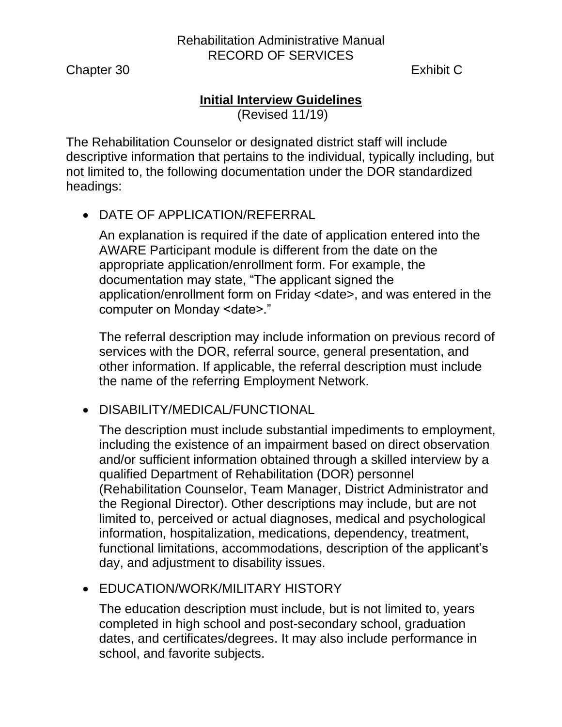Rehabilitation Administrative Manual RECORD OF SERVICES

Chapter 30 Exhibit C

### **Initial Interview Guidelines**

(Revised 11/19)

The Rehabilitation Counselor or designated district staff will include descriptive information that pertains to the individual, typically including, but not limited to, the following documentation under the DOR standardized headings:

• DATE OF APPLICATION/REFERRAL

An explanation is required if the date of application entered into the AWARE Participant module is different from the date on the appropriate application/enrollment form. For example, the documentation may state, "The applicant signed the application/enrollment form on Friday <date>, and was entered in the computer on Monday <date>."

The referral description may include information on previous record of services with the DOR, referral source, general presentation, and other information. If applicable, the referral description must include the name of the referring Employment Network.

# • DISABILITY/MEDICAL/FUNCTIONAL

The description must include substantial impediments to employment, including the existence of an impairment based on direct observation and/or sufficient information obtained through a skilled interview by a qualified Department of Rehabilitation (DOR) personnel (Rehabilitation Counselor, Team Manager, District Administrator and the Regional Director). Other descriptions may include, but are not limited to, perceived or actual diagnoses, medical and psychological information, hospitalization, medications, dependency, treatment, functional limitations, accommodations, description of the applicant's day, and adjustment to disability issues.

• EDUCATION/WORK/MILITARY HISTORY

The education description must include, but is not limited to, years completed in high school and post-secondary school, graduation dates, and certificates/degrees. It may also include performance in school, and favorite subjects.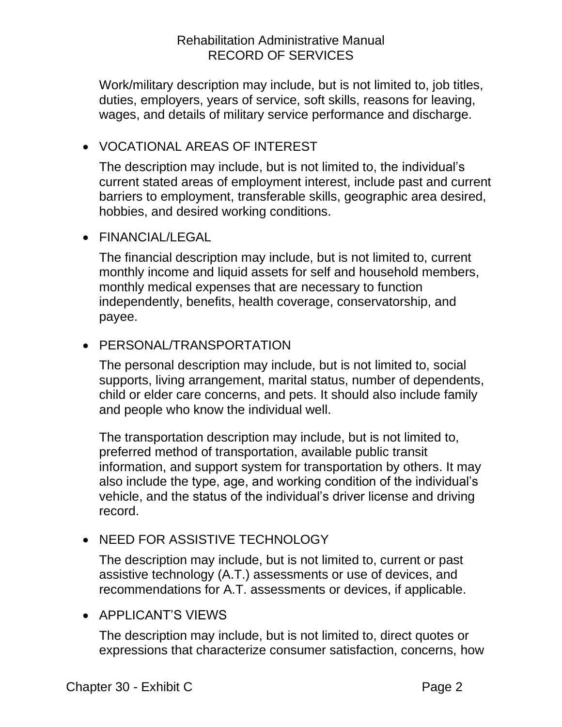Work/military description may include, but is not limited to, job titles, duties, employers, years of service, soft skills, reasons for leaving, wages, and details of military service performance and discharge.

### • VOCATIONAL AREAS OF INTEREST

The description may include, but is not limited to, the individual's current stated areas of employment interest, include past and current barriers to employment, transferable skills, geographic area desired, hobbies, and desired working conditions.

### • FINANCIAL/LEGAL

The financial description may include, but is not limited to, current monthly income and liquid assets for self and household members, monthly medical expenses that are necessary to function independently, benefits, health coverage, conservatorship, and payee.

### • PERSONAL/TRANSPORTATION

The personal description may include, but is not limited to, social supports, living arrangement, marital status, number of dependents, child or elder care concerns, and pets. It should also include family and people who know the individual well.

The transportation description may include, but is not limited to, preferred method of transportation, available public transit information, and support system for transportation by others. It may also include the type, age, and working condition of the individual's vehicle, and the status of the individual's driver license and driving record.

# • NEED FOR ASSISTIVE TECHNOLOGY

The description may include, but is not limited to, current or past assistive technology (A.T.) assessments or use of devices, and recommendations for A.T. assessments or devices, if applicable.

### • APPLICANT'S VIEWS

The description may include, but is not limited to, direct quotes or expressions that characterize consumer satisfaction, concerns, how